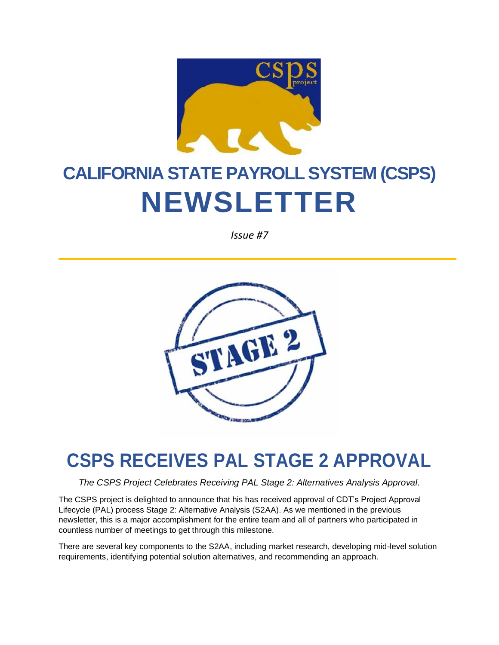

# **CALIFORNIA STATE PAYROLL SYSTEM (CSPS) NEWSLETTER**

*Issue #7*



### **CSPS RECEIVES PAL STAGE 2 APPROVAL**

*The CSPS Project Celebrates Receiving PAL Stage 2: Alternatives Analysis Approval.*

The CSPS project is delighted to announce that his has received approval of CDT's Project Approval Lifecycle (PAL) process Stage 2: Alternative Analysis (S2AA). As we mentioned in the previous newsletter, this is a major accomplishment for the entire team and all of partners who participated in countless number of meetings to get through this milestone.

There are several key components to the S2AA, including market research, developing mid-level solution requirements, identifying potential solution alternatives, and recommending an approach.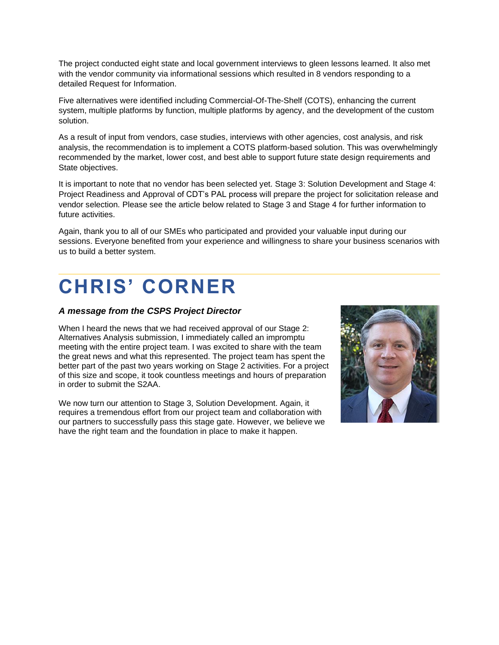The project conducted eight state and local government interviews to gleen lessons learned. It also met with the vendor community via informational sessions which resulted in 8 vendors responding to a detailed Request for Information.

Five alternatives were identified including Commercial-Of-The-Shelf (COTS), enhancing the current system, multiple platforms by function, multiple platforms by agency, and the development of the custom solution.

As a result of input from vendors, case studies, interviews with other agencies, cost analysis, and risk analysis, the recommendation is to implement a COTS platform-based solution. This was overwhelmingly recommended by the market, lower cost, and best able to support future state design requirements and State objectives.

It is important to note that no vendor has been selected yet. Stage 3: Solution Development and Stage 4: Project Readiness and Approval of CDT's PAL process will prepare the project for solicitation release and vendor selection. Please see the article below related to Stage 3 and Stage 4 for further information to future activities.

Again, thank you to all of our SMEs who participated and provided your valuable input during our sessions. Everyone benefited from your experience and willingness to share your business scenarios with us to build a better system.

### **CHRIS' CORNER**

#### *A message from the CSPS Project Director*

When I heard the news that we had received approval of our Stage 2: Alternatives Analysis submission, I immediately called an impromptu meeting with the entire project team. I was excited to share with the team the great news and what this represented. The project team has spent the better part of the past two years working on Stage 2 activities. For a project of this size and scope, it took countless meetings and hours of preparation in order to submit the S2AA.

We now turn our attention to Stage 3, Solution Development. Again, it requires a tremendous effort from our project team and collaboration with our partners to successfully pass this stage gate. However, we believe we have the right team and the foundation in place to make it happen.

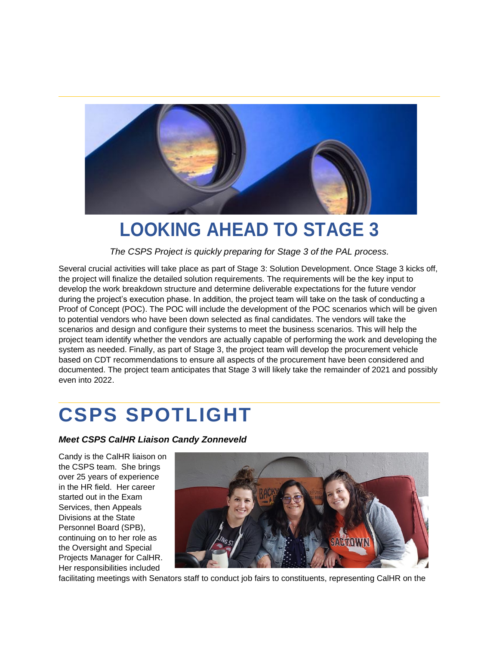

#### **LOOKING AHEAD TO STAGE 3**

*The CSPS Project is quickly preparing for Stage 3 of the PAL process.*

Several crucial activities will take place as part of Stage 3: Solution Development. Once Stage 3 kicks off, the project will finalize the detailed solution requirements. The requirements will be the key input to develop the work breakdown structure and determine deliverable expectations for the future vendor during the project's execution phase. In addition, the project team will take on the task of conducting a Proof of Concept (POC). The POC will include the development of the POC scenarios which will be given to potential vendors who have been down selected as final candidates. The vendors will take the scenarios and design and configure their systems to meet the business scenarios. This will help the project team identify whether the vendors are actually capable of performing the work and developing the system as needed. Finally, as part of Stage 3, the project team will develop the procurement vehicle based on CDT recommendations to ensure all aspects of the procurement have been considered and documented. The project team anticipates that Stage 3 will likely take the remainder of 2021 and possibly even into 2022.

## **CSPS SPOTLIGHT**

*Meet CSPS CalHR Liaison Candy Zonneveld*

Candy is the CalHR liaison on the CSPS team. She brings over 25 years of experience in the HR field. Her career started out in the Exam Services, then Appeals Divisions at the State Personnel Board (SPB), continuing on to her role as the Oversight and Special Projects Manager for CalHR. Her responsibilities included



facilitating meetings with Senators staff to conduct job fairs to constituents, representing CalHR on the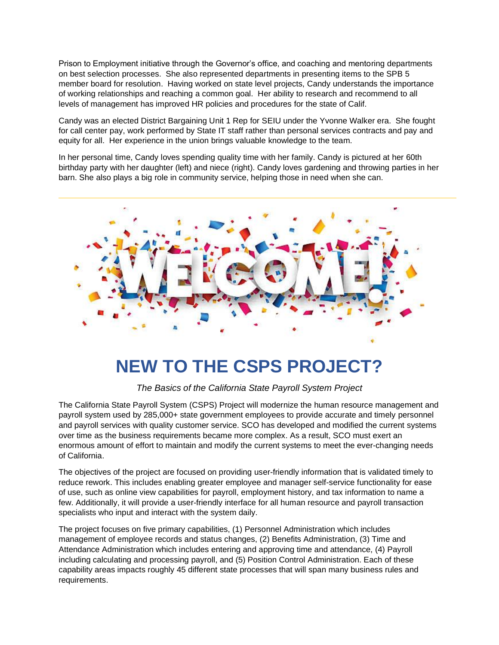Prison to Employment initiative through the Governor's office, and coaching and mentoring departments on best selection processes. She also represented departments in presenting items to the SPB 5 member board for resolution. Having worked on state level projects, Candy understands the importance of working relationships and reaching a common goal. Her ability to research and recommend to all levels of management has improved HR policies and procedures for the state of Calif.

Candy was an elected District Bargaining Unit 1 Rep for SEIU under the Yvonne Walker era. She fought for call center pay, work performed by State IT staff rather than personal services contracts and pay and equity for all. Her experience in the union brings valuable knowledge to the team.

In her personal time, Candy loves spending quality time with her family. Candy is pictured at her 60th birthday party with her daughter (left) and niece (right). Candy loves gardening and throwing parties in her barn. She also plays a big role in community service, helping those in need when she can.



#### **NEW TO THE CSPS PROJECT?**

*The Basics of the California State Payroll System Project*

The California State Payroll System (CSPS) Project will modernize the human resource management and payroll system used by 285,000+ state government employees to provide accurate and timely personnel and payroll services with quality customer service. SCO has developed and modified the current systems over time as the business requirements became more complex. As a result, SCO must exert an enormous amount of effort to maintain and modify the current systems to meet the ever-changing needs of California.

The objectives of the project are focused on providing user-friendly information that is validated timely to reduce rework. This includes enabling greater employee and manager self-service functionality for ease of use, such as online view capabilities for payroll, employment history, and tax information to name a few. Additionally, it will provide a user-friendly interface for all human resource and payroll transaction specialists who input and interact with the system daily.

The project focuses on five primary capabilities, (1) Personnel Administration which includes management of employee records and status changes, (2) Benefits Administration, (3) Time and Attendance Administration which includes entering and approving time and attendance, (4) Payroll including calculating and processing payroll, and (5) Position Control Administration. Each of these capability areas impacts roughly 45 different state processes that will span many business rules and requirements.